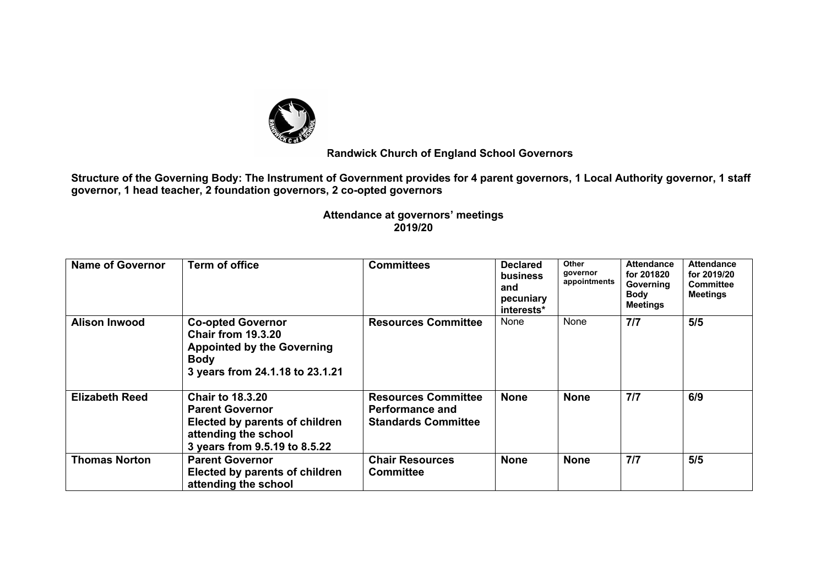

## **Randwick Church of England School Governors**

**Structure of the Governing Body: The Instrument of Government provides for 4 parent governors, 1 Local Authority governor, 1 staff governor, 1 head teacher, 2 foundation governors, 2 co-opted governors**

> **Attendance at governors' meetings 2019/20**

| <b>Name of Governor</b> | <b>Term of office</b>                                                                                                                        | <b>Committees</b>                                                                  | <b>Declared</b><br>business<br>and<br>pecuniary<br>interests* | <b>Other</b><br>governor<br>appointments | <b>Attendance</b><br>for 201820<br>Governing<br><b>Body</b><br><b>Meetings</b> | <b>Attendance</b><br>for 2019/20<br><b>Committee</b><br><b>Meetings</b> |
|-------------------------|----------------------------------------------------------------------------------------------------------------------------------------------|------------------------------------------------------------------------------------|---------------------------------------------------------------|------------------------------------------|--------------------------------------------------------------------------------|-------------------------------------------------------------------------|
| <b>Alison Inwood</b>    | <b>Co-opted Governor</b><br><b>Chair from 19.3.20</b><br><b>Appointed by the Governing</b><br><b>Body</b><br>3 years from 24.1.18 to 23.1.21 | <b>Resources Committee</b>                                                         | None                                                          | None                                     | 7/7                                                                            | 5/5                                                                     |
| <b>Elizabeth Reed</b>   | <b>Chair to 18.3.20</b><br><b>Parent Governor</b><br>Elected by parents of children<br>attending the school<br>3 years from 9.5.19 to 8.5.22 | <b>Resources Committee</b><br><b>Performance and</b><br><b>Standards Committee</b> | <b>None</b>                                                   | <b>None</b>                              | 7/7                                                                            | 6/9                                                                     |
| <b>Thomas Norton</b>    | <b>Parent Governor</b><br>Elected by parents of children<br>attending the school                                                             | <b>Chair Resources</b><br><b>Committee</b>                                         | <b>None</b>                                                   | <b>None</b>                              | 7/7                                                                            | 5/5                                                                     |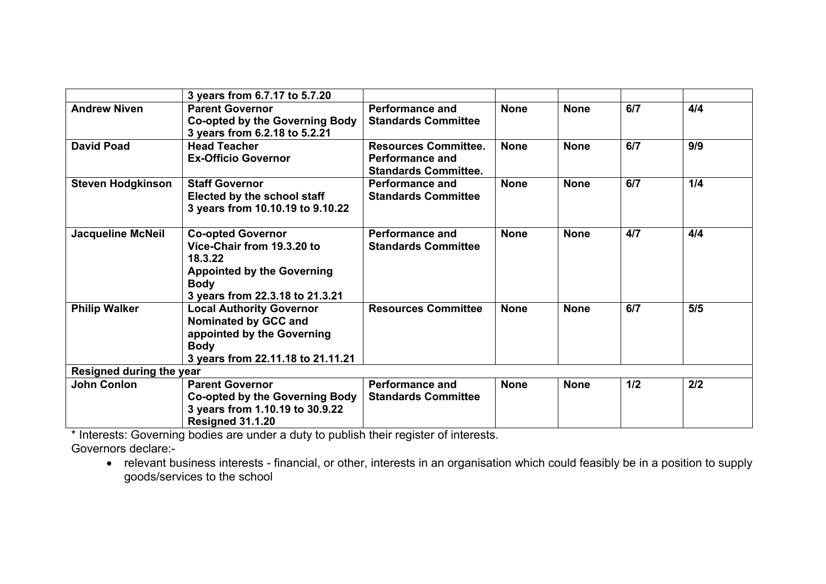|                                 | 3 years from 6.7.17 to 5.7.20                                                                                                                            |                                                                                      |             |             |     |     |  |  |
|---------------------------------|----------------------------------------------------------------------------------------------------------------------------------------------------------|--------------------------------------------------------------------------------------|-------------|-------------|-----|-----|--|--|
| <b>Andrew Niven</b>             | <b>Parent Governor</b><br><b>Co-opted by the Governing Body</b>                                                                                          | <b>Performance and</b><br><b>Standards Committee</b>                                 | <b>None</b> | <b>None</b> | 6/7 | 4/4 |  |  |
|                                 | 3 years from 6.2.18 to 5.2.21                                                                                                                            |                                                                                      |             |             |     |     |  |  |
| <b>David Poad</b>               | <b>Head Teacher</b><br><b>Ex-Officio Governor</b>                                                                                                        | <b>Resources Committee.</b><br><b>Performance and</b><br><b>Standards Committee.</b> | <b>None</b> | <b>None</b> | 6/7 | 9/9 |  |  |
| <b>Steven Hodgkinson</b>        | <b>Staff Governor</b><br>Elected by the school staff<br>3 years from 10.10.19 to 9.10.22                                                                 | <b>Performance and</b><br><b>Standards Committee</b>                                 | <b>None</b> | <b>None</b> | 6/7 | 1/4 |  |  |
| <b>Jacqueline McNeil</b>        | <b>Co-opted Governor</b><br>Vice-Chair from 19.3.20 to<br>18.3.22<br><b>Appointed by the Governing</b><br><b>Body</b><br>3 years from 22.3.18 to 21.3.21 | <b>Performance and</b><br><b>Standards Committee</b>                                 | <b>None</b> | <b>None</b> | 4/7 | 4/4 |  |  |
| <b>Philip Walker</b>            | <b>Local Authority Governor</b><br>Nominated by GCC and<br>appointed by the Governing<br><b>Body</b><br>3 years from 22.11.18 to 21.11.21                | <b>Resources Committee</b>                                                           | <b>None</b> | <b>None</b> | 6/7 | 5/5 |  |  |
| <b>Resigned during the year</b> |                                                                                                                                                          |                                                                                      |             |             |     |     |  |  |
| <b>John Conlon</b>              | <b>Parent Governor</b><br><b>Co-opted by the Governing Body</b><br>3 years from 1.10.19 to 30.9.22<br>Resigned 31.1.20                                   | <b>Performance and</b><br><b>Standards Committee</b>                                 | <b>None</b> | <b>None</b> | 1/2 | 2/2 |  |  |

\* Interests: Governing bodies are under a duty to publish their register of interests.

Governors declare:-

• relevant business interests - financial, or other, interests in an organisation which could feasibly be in a position to supply goods/services to the school